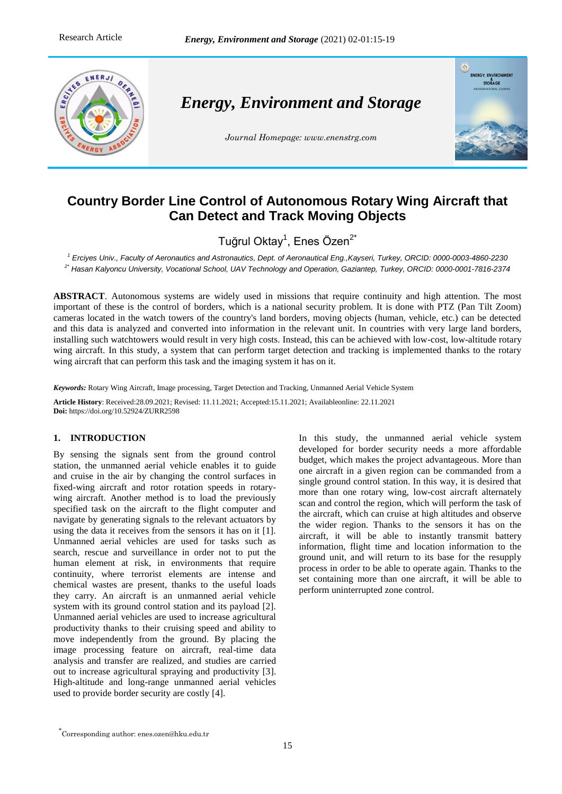

# **Country Border Line Control of Autonomous Rotary Wing Aircraft that Can Detect and Track Moving Objects**

Tuğrul Oktay<sup>1</sup>, Enes Özen<sup>2\*</sup>

*<sup>1</sup> Erciyes Univ., Faculty of Aeronautics and Astronautics, Dept. of Aeronautical Eng.,Kayseri, Turkey, ORCID: 0000-0003-4860-2230 2\* Hasan Kalyoncu University, Vocational School, UAV Technology and Operation, Gaziantep, Turkey, ORCID[: 0000-0001-7816-2374](https://orcid.org/0000-0001-7816-2374)*

**ABSTRACT**. Autonomous systems are widely used in missions that require continuity and high attention. The most important of these is the control of borders, which is a national security problem. It is done with PTZ (Pan Tilt Zoom) cameras located in the watch towers of the country's land borders, moving objects (human, vehicle, etc.) can be detected and this data is analyzed and converted into information in the relevant unit. In countries with very large land borders, installing such watchtowers would result in very high costs. Instead, this can be achieved with low-cost, low-altitude rotary wing aircraft. In this study, a system that can perform target detection and tracking is implemented thanks to the rotary wing aircraft that can perform this task and the imaging system it has on it.

*Keywords:* Rotary Wing Aircraft, Image processing, Target Detection and Tracking, Unmanned Aerial Vehicle System

**Article History**: Received:28.09.2021; Revised: 11.11.2021; Accepted:15.11.2021; Availableonline: 22.11.2021 **Doi:** https://doi.org/10.52924/ZURR2598

# **1. INTRODUCTION**

By sensing the signals sent from the ground control station, the unmanned aerial vehicle enables it to guide and cruise in the air by changing the control surfaces in fixed-wing aircraft and rotor rotation speeds in rotarywing aircraft. Another method is to load the previously specified task on the aircraft to the flight computer and navigate by generating signals to the relevant actuators by using the data it receives from the sensors it has on it [1]. Unmanned aerial vehicles are used for tasks such as search, rescue and surveillance in order not to put the human element at risk, in environments that require continuity, where terrorist elements are intense and chemical wastes are present, thanks to the useful loads they carry. An aircraft is an unmanned aerial vehicle system with its ground control station and its payload [2]. Unmanned aerial vehicles are used to increase agricultural productivity thanks to their cruising speed and ability to move independently from the ground. By placing the image processing feature on aircraft, real-time data analysis and transfer are realized, and studies are carried out to increase agricultural spraying and productivity [3]. High-altitude and long-range unmanned aerial vehicles used to provide border security are costly [4].

In this study, the unmanned aerial vehicle system developed for border security needs a more affordable budget, which makes the project advantageous. More than one aircraft in a given region can be commanded from a single ground control station. In this way, it is desired that more than one rotary wing, low-cost aircraft alternately scan and control the region, which will perform the task of the aircraft, which can cruise at high altitudes and observe the wider region. Thanks to the sensors it has on the aircraft, it will be able to instantly transmit battery information, flight time and location information to the ground unit, and will return to its base for the resupply process in order to be able to operate again. Thanks to the set containing more than one aircraft, it will be able to perform uninterrupted zone control.

<sup>\*</sup> Corresponding author: enes.ozen@hku.edu.tr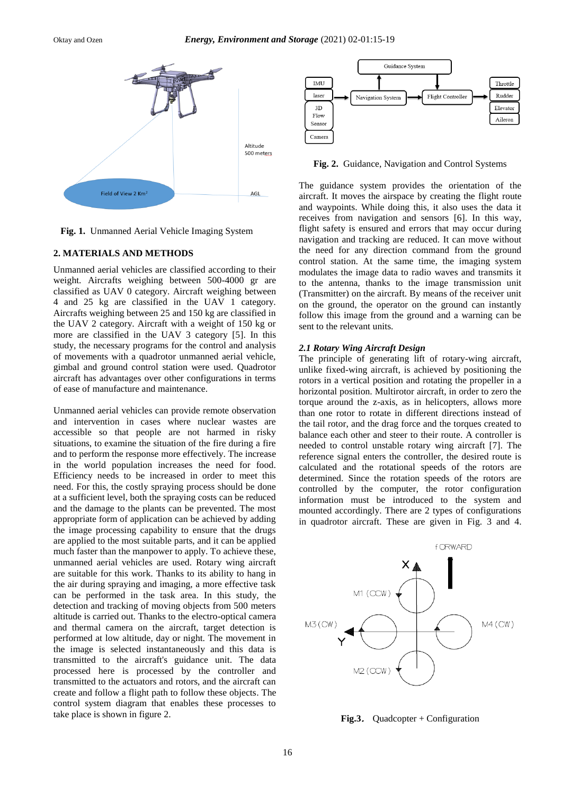

**Fig. 1.** Unmanned Aerial Vehicle Imaging System

#### **2. MATERIALS AND METHODS**

Unmanned aerial vehicles are classified according to their weight. Aircrafts weighing between 500-4000 gr are classified as UAV 0 category. Aircraft weighing between 4 and 25 kg are classified in the UAV 1 category. Aircrafts weighing between 25 and 150 kg are classified in the UAV 2 category. Aircraft with a weight of 150 kg or more are classified in the UAV 3 category [5]. In this study, the necessary programs for the control and analysis of movements with a quadrotor unmanned aerial vehicle, gimbal and ground control station were used. Quadrotor aircraft has advantages over other configurations in terms of ease of manufacture and maintenance.

Unmanned aerial vehicles can provide remote observation and intervention in cases where nuclear wastes are accessible so that people are not harmed in risky situations, to examine the situation of the fire during a fire and to perform the response more effectively. The increase in the world population increases the need for food. Efficiency needs to be increased in order to meet this need. For this, the costly spraying process should be done at a sufficient level, both the spraying costs can be reduced and the damage to the plants can be prevented. The most appropriate form of application can be achieved by adding the image processing capability to ensure that the drugs are applied to the most suitable parts, and it can be applied much faster than the manpower to apply. To achieve these, unmanned aerial vehicles are used. Rotary wing aircraft are suitable for this work. Thanks to its ability to hang in the air during spraying and imaging, a more effective task can be performed in the task area. In this study, the detection and tracking of moving objects from 500 meters altitude is carried out. Thanks to the electro-optical camera and thermal camera on the aircraft, target detection is performed at low altitude, day or night. The movement in the image is selected instantaneously and this data is transmitted to the aircraft's guidance unit. The data processed here is processed by the controller and transmitted to the actuators and rotors, and the aircraft can create and follow a flight path to follow these objects. The control system diagram that enables these processes to take place is shown in figure 2.



**Fig. 2.** Guidance, Navigation and Control Systems

The guidance system provides the orientation of the aircraft. It moves the airspace by creating the flight route and waypoints. While doing this, it also uses the data it receives from navigation and sensors [6]. In this way, flight safety is ensured and errors that may occur during navigation and tracking are reduced. It can move without the need for any direction command from the ground control station. At the same time, the imaging system modulates the image data to radio waves and transmits it to the antenna, thanks to the image transmission unit (Transmitter) on the aircraft. By means of the receiver unit on the ground, the operator on the ground can instantly follow this image from the ground and a warning can be sent to the relevant units.

## *2.1 Rotary Wing Aircraft Design*

The principle of generating lift of rotary-wing aircraft, unlike fixed-wing aircraft, is achieved by positioning the rotors in a vertical position and rotating the propeller in a horizontal position. Multirotor aircraft, in order to zero the torque around the z-axis, as in helicopters, allows more than one rotor to rotate in different directions instead of the tail rotor, and the drag force and the torques created to balance each other and steer to their route. A controller is needed to control unstable rotary wing aircraft [7]. The reference signal enters the controller, the desired route is calculated and the rotational speeds of the rotors are determined. Since the rotation speeds of the rotors are controlled by the computer, the rotor configuration information must be introduced to the system and mounted accordingly. There are 2 types of configurations in quadrotor aircraft. These are given in Fig. 3 and 4.



**Fig.3**. Quadcopter + Configuration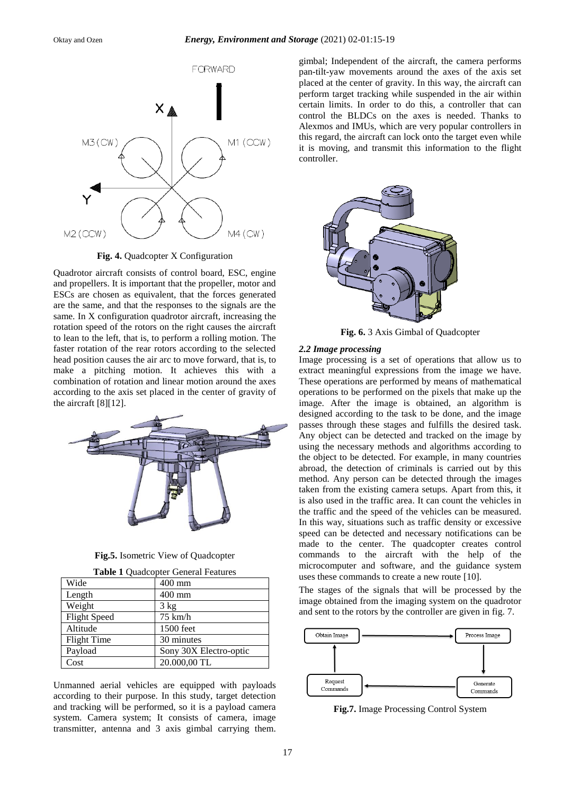

**Fig. 4.** Quadcopter X Configuration

Quadrotor aircraft consists of control board, ESC, engine and propellers. It is important that the propeller, motor and ESCs are chosen as equivalent, that the forces generated are the same, and that the responses to the signals are the same. In X configuration quadrotor aircraft, increasing the rotation speed of the rotors on the right causes the aircraft to lean to the left, that is, to perform a rolling motion. The faster rotation of the rear rotors according to the selected head position causes the air arc to move forward, that is, to make a pitching motion. It achieves this with a combination of rotation and linear motion around the axes according to the axis set placed in the center of gravity of the aircraft [8][12].



**Fig.5.** Isometric View of Quadcopter

|  |  | Table 1 Quadcopter General Features |  |
|--|--|-------------------------------------|--|
|--|--|-------------------------------------|--|

| Wide                | $400$ mm               |  |
|---------------------|------------------------|--|
| Length              | 400 mm                 |  |
| Weight              | $3 \text{ kg}$         |  |
| <b>Flight Speed</b> | $75 \text{ km/h}$      |  |
| Altitude            | 1500 feet              |  |
| <b>Flight Time</b>  | 30 minutes             |  |
| Payload             | Sony 30X Electro-optic |  |
| Cost                | 20.000,00 TL           |  |

Unmanned aerial vehicles are equipped with payloads according to their purpose. In this study, target detection and tracking will be performed, so it is a payload camera system. Camera system; It consists of camera, image transmitter, antenna and 3 axis gimbal carrying them. gimbal; Independent of the aircraft, the camera performs pan-tilt-yaw movements around the axes of the axis set placed at the center of gravity. In this way, the aircraft can perform target tracking while suspended in the air within certain limits. In order to do this, a controller that can control the BLDCs on the axes is needed. Thanks to Alexmos and IMUs, which are very popular controllers in this regard, the aircraft can lock onto the target even while it is moving, and transmit this information to the flight controller.



**Fig. 6.** 3 Axis Gimbal of Quadcopter

#### *2.2 Image processing*

Image processing is a set of operations that allow us to extract meaningful expressions from the image we have. These operations are performed by means of mathematical operations to be performed on the pixels that make up the image. After the image is obtained, an algorithm is designed according to the task to be done, and the image passes through these stages and fulfills the desired task. Any object can be detected and tracked on the image by using the necessary methods and algorithms according to the object to be detected. For example, in many countries abroad, the detection of criminals is carried out by this method. Any person can be detected through the images taken from the existing camera setups. Apart from this, it is also used in the traffic area. It can count the vehicles in the traffic and the speed of the vehicles can be measured. In this way, situations such as traffic density or excessive speed can be detected and necessary notifications can be made to the center. The quadcopter creates control commands to the aircraft with the help of the microcomputer and software, and the guidance system uses these commands to create a new route [10].

The stages of the signals that will be processed by the image obtained from the imaging system on the quadrotor and sent to the rotors by the controller are given in fig. 7.



**Fig.7.** Image Processing Control System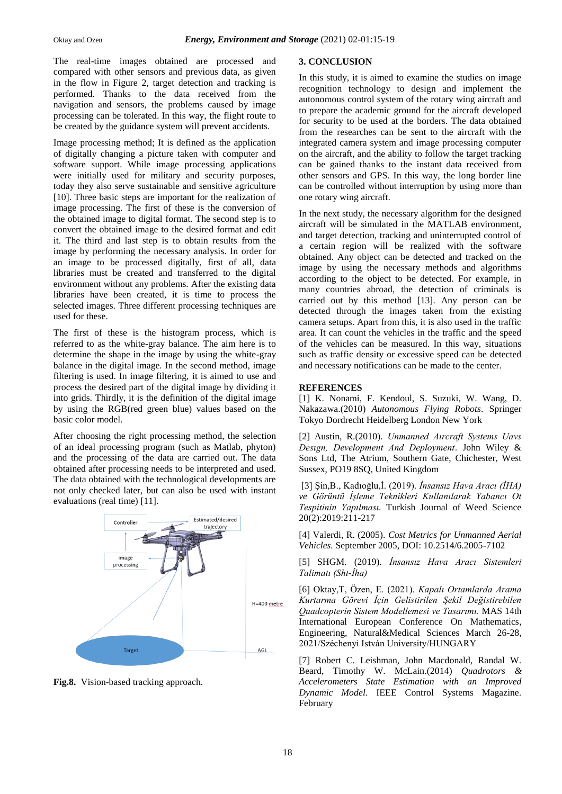The real-time images obtained are processed and compared with other sensors and previous data, as given in the flow in Figure 2, target detection and tracking is performed. Thanks to the data received from the navigation and sensors, the problems caused by image processing can be tolerated. In this way, the flight route to be created by the guidance system will prevent accidents.

Image processing method; It is defined as the application of digitally changing a picture taken with computer and software support. While image processing applications were initially used for military and security purposes, today they also serve sustainable and sensitive agriculture [10]. Three basic steps are important for the realization of image processing. The first of these is the conversion of the obtained image to digital format. The second step is to convert the obtained image to the desired format and edit it. The third and last step is to obtain results from the image by performing the necessary analysis. In order for an image to be processed digitally, first of all, data libraries must be created and transferred to the digital environment without any problems. After the existing data libraries have been created, it is time to process the selected images. Three different processing techniques are used for these.

The first of these is the histogram process, which is referred to as the white-gray balance. The aim here is to determine the shape in the image by using the white-gray balance in the digital image. In the second method, image filtering is used. In image filtering, it is aimed to use and process the desired part of the digital image by dividing it into grids. Thirdly, it is the definition of the digital image by using the RGB(red green blue) values based on the basic color model.

After choosing the right processing method, the selection of an ideal processing program (such as Matlab, phyton) and the processing of the data are carried out. The data obtained after processing needs to be interpreted and used. The data obtained with the technological developments are not only checked later, but can also be used with instant evaluations (real time) [11].



**Fig.8.** Vision-based tracking approach.

## **3. CONCLUSION**

In this study, it is aimed to examine the studies on image recognition technology to design and implement the autonomous control system of the rotary wing aircraft and to prepare the academic ground for the aircraft developed for security to be used at the borders. The data obtained from the researches can be sent to the aircraft with the integrated camera system and image processing computer on the aircraft, and the ability to follow the target tracking can be gained thanks to the instant data received from other sensors and GPS. In this way, the long border line can be controlled without interruption by using more than one rotary wing aircraft.

In the next study, the necessary algorithm for the designed aircraft will be simulated in the MATLAB environment, and target detection, tracking and uninterrupted control of a certain region will be realized with the software obtained. Any object can be detected and tracked on the image by using the necessary methods and algorithms according to the object to be detected. For example, in many countries abroad, the detection of criminals is carried out by this method [13]. Any person can be detected through the images taken from the existing camera setups. Apart from this, it is also used in the traffic area. It can count the vehicles in the traffic and the speed of the vehicles can be measured. In this way, situations such as traffic density or excessive speed can be detected and necessary notifications can be made to the center.

## **REFERENCES**

[1] K. Nonami, F. Kendoul, S. Suzuki, W. Wang, D. Nakazawa.(2010) *Autonomous Flying Robots*. Springer Tokyo Dordrecht Heidelberg London New York

[2] Austin, R.(2010). *Unmanned Aırcraft Systems Uavs Desıgn, Development And Deployment*. John Wiley & Sons Ltd, The Atrium, Southern Gate, Chichester, West Sussex, PO19 8SQ, United Kingdom

[3] Şin,B., Kadıoğlu,İ. (2019). *İnsansız Hava Aracı (İHA) ve Görüntü İşleme Teknikleri Kullanılarak Yabancı Ot Tespitinin Yapılması.* Turkish Journal of Weed Science 20(2):2019:211-217

[4] Valerdi, R. (2005). *Cost Metrics for Unmanned Aerial Vehicles.* September 2005, DOI: 10.2514/6.2005-7102

[5] SHGM. (2019). *İnsansız Hava Aracı Sistemleri Talimatı (Sht-İha)*

[6] Oktay,T, Özen, E. (2021). *Kapalı Ortamlarda Arama Kurtarma Görevi İçin Gelistirilen Şekil Değistirebilen Quadcopterin Sistem Modellemesi ve Tasarımı.* MAS 14th International European Conference On Mathematics, Engineering, Natural&Medical Sciences March 26-28, 2021/Széchenyi István University/HUNGARY

[7] Robert C. Leishman, John Macdonald, Randal W. Beard, Timothy W. McLain.(2014) *Quadrotors & Accelerometers State Estimation with an Improved Dynamic Model*. IEEE Control Systems Magazine. February